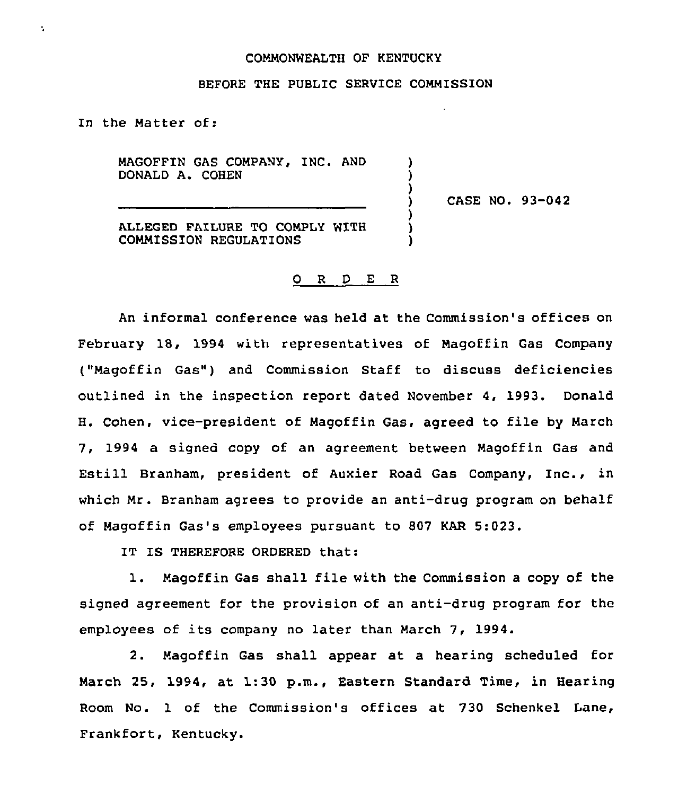## COMMONWEALTH OF KENTUCKY

## BEFORE THE PUBLIC SERVICE COMMISSION

) ) )

) ) )

In the Matter of:

÷,

MAGOFFIN GAS COMPANY, INC. AND DONALD A. COHEN

) CASE NO. 93-042

ALLEGED FAILURE TO COMPLY WITH COMMISSION REGULATIONS

## 0 <sup>R</sup> <sup>D</sup> E <sup>R</sup>

An informal conference was held at the Commission's offices on February 18, 1994 with representatives of Magoffin Gas Company ("Magoffin Gas") and Commission Staff to discuss deficiencies outlined in the inspection report dated November 4, 1993. Donald H. Cohen, vice-president of Magoffin Gas, agreed to file by March 7, 1994 a signed copy of an agreement between Magoffin Gas and Estill Branham, president of Auxier Road Gas Company, Inc., in which Mr. Branham agrees to provide an anti-drug program on behalf of Magoffin Gas's employees pursuant to 807 KAR 5:023.

IT IS THEREFORE ORDERED that:

1. Magoffin Gas shall file with the Commission <sup>a</sup> copy of the signed agreement for the provision of an anti-drug program for the employees of its company no later than March 7, 1994.

2. Magoffin Gas shall appear at a hearing scheduled for March 25, 1994, at 1:30 p.m., Eastern Standard Time, in Hearing Room No. 1 of the Commission's offices at 730 Schenkel Lane, Frankfort, Kentucky.